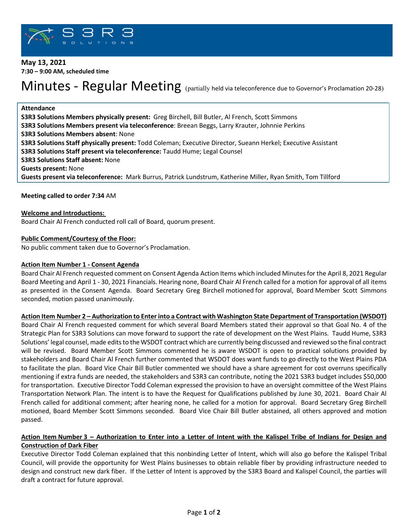

# **May 13, 2021 7:30 – 9:00 AM, scheduled time**

# Minutes - Regular Meeting (partially held via teleconference due to Governor's Proclamation 20-28)

## **Attendance**

**S3R3 Solutions Members physically present:** Greg Birchell, Bill Butler, Al French, Scott Simmons **S3R3 Solutions Members present via teleconference**: Breean Beggs, Larry Krauter, Johnnie Perkins **S3R3 Solutions Members absent**: None **S3R3 Solutions Staff physically present:** Todd Coleman; Executive Director, Sueann Herkel; Executive Assistant **S3R3 Solutions Staff present via teleconference:** Taudd Hume; Legal Counsel **S3R3 Solutions Staff absent:** None **Guests present:** None **Guests present via teleconference:** Mark Burrus, Patrick Lundstrum, Katherine Miller, Ryan Smith, Tom Tillford

## **Meeting called to order 7:34** AM

#### **Welcome and Introductions:**

Board Chair Al French conducted roll call of Board, quorum present.

#### **Public Comment/Courtesy of the Floor:**

No public comment taken due to Governor's Proclamation.

#### **Action Item Number 1 - Consent Agenda**

Board Chair Al French requested comment on Consent Agenda Action Items which included Minutes for the April 8, 2021 Regular Board Meeting and April 1 - 30, 2021 Financials. Hearing none, Board Chair Al French called for a motion for approval of all items as presented in the Consent Agenda. Board Secretary Greg Birchell motioned for approval, Board Member Scott Simmons seconded, motion passed unanimously.

#### **Action Item Number 2 – Authorization to Enter into a Contract with Washington State Department of Transportation (WSDOT)**

Board Chair Al French requested comment for which several Board Members stated their approval so that Goal No. 4 of the Strategic Plan for S3R3 Solutions can move forward to support the rate of development on the West Plains. Taudd Hume, S3R3 Solutions' legal counsel, made editsto the WSDOT contract which are currently being discussed and reviewed so the final contract will be revised. Board Member Scott Simmons commented he is aware WSDOT is open to practical solutions provided by stakeholders and Board Chair Al French further commented that WSDOT does want funds to go directly to the West Plains PDA to facilitate the plan. Board Vice Chair Bill Butler commented we should have a share agreement for cost overruns specifically mentioning if extra funds are needed, the stakeholders and S3R3 can contribute, noting the 2021 S3R3 budget includes \$50,000 for transportation. Executive Director Todd Coleman expressed the provision to have an oversight committee of the West Plains Transportation Network Plan. The intent is to have the Request for Qualifications published by June 30, 2021. Board Chair Al French called for additional comment; after hearing none, he called for a motion for approval. Board Secretary Greg Birchell motioned, Board Member Scott Simmons seconded. Board Vice Chair Bill Butler abstained, all others approved and motion passed.

# **Action Item Number 3 – Authorization to Enter into a Letter of Intent with the Kalispel Tribe of Indians for Design and Construction of Dark Fiber**

Executive Director Todd Coleman explained that this nonbinding Letter of Intent, which will also go before the Kalispel Tribal Council, will provide the opportunity for West Plains businesses to obtain reliable fiber by providing infrastructure needed to design and construct new dark fiber. If the Letter of Intent is approved by the S3R3 Board and Kalispel Council, the parties will draft a contract for future approval.